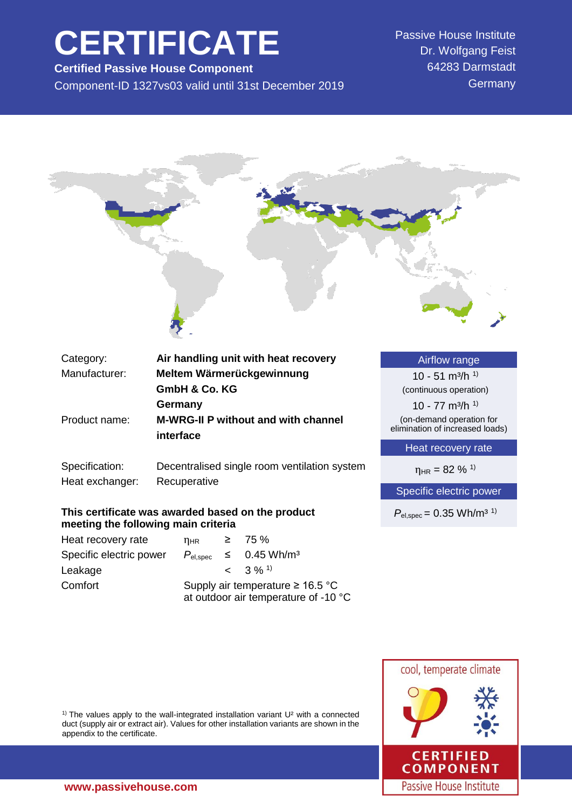# **CERTIFICATE**

**Certified Passive House Component** Component-ID 1327vs03 valid until 31st December 2019 Passive House Institute Dr. Wolfgang Feist 64283 Darmstadt **Germany** 



| Category:                                                                | Air handling unit with heat recovery                         | <b>Airflow range</b>                                       |
|--------------------------------------------------------------------------|--------------------------------------------------------------|------------------------------------------------------------|
| Manufacturer:                                                            | Meltem Wärmerückgewinnung                                    | 10 - 51 m <sup>3</sup> /h <sup>1)</sup>                    |
|                                                                          | <b>GmbH &amp; Co. KG</b>                                     | (continuous operation)                                     |
|                                                                          | Germany                                                      | 10 - 77 m <sup>3</sup> /h <sup>1)</sup>                    |
| <b>M-WRG-II P without and with channel</b><br>Product name:<br>interface |                                                              | (on-demand operation for<br>elimination of increased loads |
|                                                                          |                                                              | Heat recovery rate                                         |
| Specification:<br>Heat exchanger:                                        | Decentralised single room ventilation system<br>Recuperative | $\eta_{HR} = 82 \%$ <sup>1)</sup>                          |
|                                                                          |                                                              | Spoojfic oloctric power                                    |

## **This certificate was awarded based on the product meeting the following main criteria**

| Heat recovery rate      | $n_{HR}$                                                                      |  | $\geq 75\%$                            |  |
|-------------------------|-------------------------------------------------------------------------------|--|----------------------------------------|--|
| Specific electric power |                                                                               |  | $P_{el,spec} \leq 0.45 \text{ Wh/m}^3$ |  |
| Leakage                 |                                                                               |  | $< 3\%$ <sup>1)</sup>                  |  |
| Comfort                 | Supply air temperature $\geq 16.5$ °C<br>at outdoor air temperature of -10 °C |  |                                        |  |

Specific electric power

 $P_{\text{el,spec}} = 0.35 \text{ Wh/m}^{3}$ <sup>1)</sup>



<sup>1)</sup> The values apply to the wall-integrated installation variant  $U^2$  with a connected duct (supply air or extract air). Values for other installation variants are shown in the appendix to the certificate.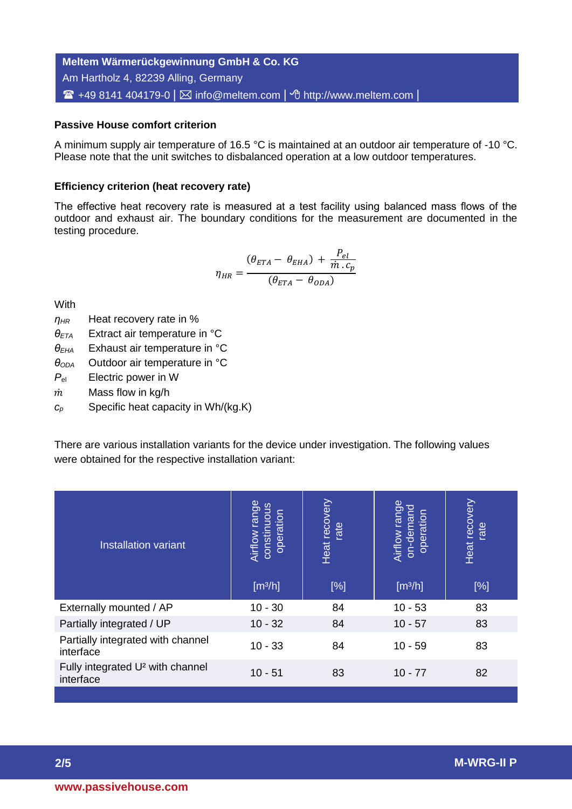**Meltem Wärmerückgewinnung GmbH & Co. KG** Am Hartholz 4, 82239 Alling, Germany ■ +49 8141 404179-0 | ⊠ info@meltem.com | *^* http://www.meltem.com |

# **Passive House comfort criterion**

A minimum supply air temperature of 16.5 °C is maintained at an outdoor air temperature of -10 °C. Please note that the unit switches to disbalanced operation at a low outdoor temperatures.

# **Efficiency criterion (heat recovery rate)**

The effective heat recovery rate is measured at a test facility using balanced mass flows of the outdoor and exhaust air. The boundary conditions for the measurement are documented in the testing procedure.

$$
\eta_{HR} = \frac{(\theta_{ETA} - \theta_{EHA}) + \frac{P_{el}}{\dot{m} \cdot c_p}}{(\theta_{ETA} - \theta_{ODA})}
$$

**With** 

*ηHR* Heat recovery rate in %

*θETA* Extract air temperature in °C

*θEHA* Exhaust air temperature in °C

*θODA* Outdoor air temperature in °C

*P*el Electric power in W

 $\dot{m}$  Mass flow in kg/h

*c<sup>p</sup>* Specific heat capacity in Wh/(kg.K)

There are various installation variants for the device under investigation. The following values were obtained for the respective installation variant:

| <b>Installation variant</b>                               | Airflow range<br>constinuous<br>operation<br>[m <sup>3</sup> /h] | recovery<br>rate<br>Heat<br>[%] | Airflow range<br>on-demand<br>operation<br>[m <sup>3</sup> /h] | recovery<br>rate<br>Heat<br>[%] |
|-----------------------------------------------------------|------------------------------------------------------------------|---------------------------------|----------------------------------------------------------------|---------------------------------|
| Externally mounted / AP                                   | $10 - 30$                                                        | 84                              | $10 - 53$                                                      | 83                              |
| Partially integrated / UP                                 | $10 - 32$                                                        | 84                              | $10 - 57$                                                      | 83                              |
| Partially integrated with channel<br>interface            | $10 - 33$                                                        | 84                              | $10 - 59$                                                      | 83                              |
| Fully integrated U <sup>2</sup> with channel<br>interface | $10 - 51$                                                        | 83                              | $10 - 77$                                                      | 82                              |
|                                                           |                                                                  |                                 |                                                                |                                 |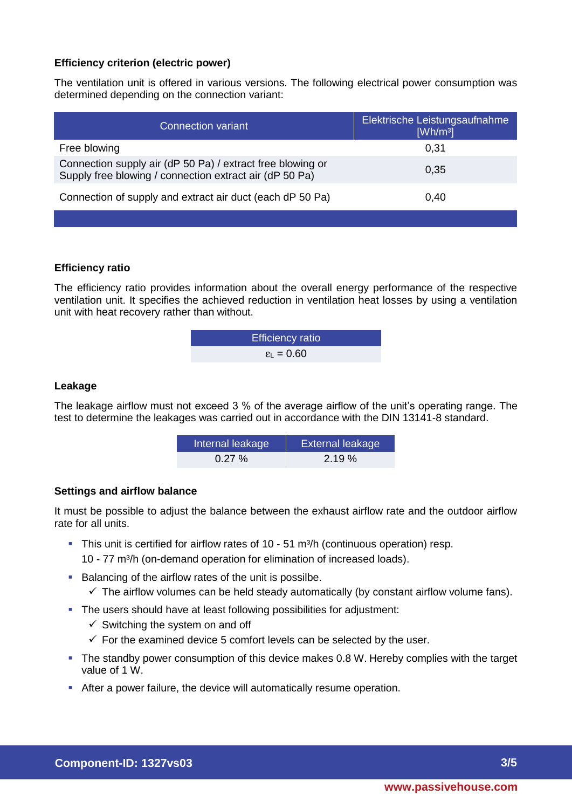# **Efficiency criterion (electric power)**

The ventilation unit is offered in various versions. The following electrical power consumption was determined depending on the connection variant:

| <b>Connection variant</b>                                                                                             | Elektrische Leistungsaufnahme<br>[Wh/m <sup>3</sup> ] |
|-----------------------------------------------------------------------------------------------------------------------|-------------------------------------------------------|
| Free blowing                                                                                                          | 0,31                                                  |
| Connection supply air (dP 50 Pa) / extract free blowing or<br>Supply free blowing / connection extract air (dP 50 Pa) | 0.35                                                  |
| Connection of supply and extract air duct (each dP 50 Pa)                                                             | 0,40                                                  |
|                                                                                                                       |                                                       |

# **Efficiency ratio**

The efficiency ratio provides information about the overall energy performance of the respective ventilation unit. It specifies the achieved reduction in ventilation heat losses by using a ventilation unit with heat recovery rather than without.

| <b>Efficiency ratio</b>      |  |
|------------------------------|--|
| $\epsilon_{\text{L}} = 0.60$ |  |

#### **Leakage**

The leakage airflow must not exceed 3 % of the average airflow of the unit's operating range. The test to determine the leakages was carried out in accordance with the DIN 13141-8 standard.

| Internal leakage | <b>External leakage</b> |
|------------------|-------------------------|
| $0.27 \%$        | 2.19%                   |

#### **Settings and airflow balance**

It must be possible to adjust the balance between the exhaust airflow rate and the outdoor airflow rate for all units.

- $\blacksquare$  This unit is certified for airflow rates of 10 51 m<sup>3</sup>/h (continuous operation) resp. 10 - 77 m³/h (on-demand operation for elimination of increased loads).
- Balancing of the airflow rates of the unit is possilbe.
	- $\checkmark$  The airflow volumes can be held steady automatically (by constant airflow volume fans).
- The users should have at least following possibilities for adjustment:
	- $\checkmark$  Switching the system on and off
	- $\checkmark$  For the examined device 5 comfort levels can be selected by the user.
- The standby power consumption of this device makes 0.8 W. Hereby complies with the target value of 1 W.
- After a power failure, the device will automatically resume operation.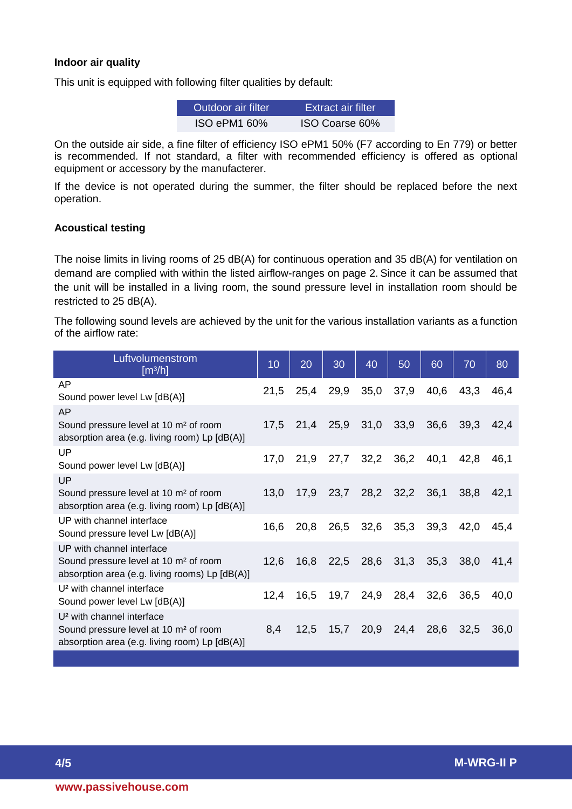## **Indoor air quality**

This unit is equipped with following filter qualities by default:

| Outdoor air filter | Extract air filter. |
|--------------------|---------------------|
| ISO ePM1 60%       | ISO Coarse 60%      |

On the outside air side, a fine filter of efficiency ISO ePM1 50% (F7 according to En 779) or better is recommended. If not standard, a filter with recommended efficiency is offered as optional equipment or accessory by the manufacterer.

If the device is not operated during the summer, the filter should be replaced before the next operation.

# **Acoustical testing**

The noise limits in living rooms of 25 dB(A) for continuous operation and 35 dB(A) for ventilation on demand are complied with within the listed airflow-ranges on page 2. Since it can be assumed that the unit will be installed in a living room, the sound pressure level in installation room should be restricted to 25 dB(A).

The following sound levels are achieved by the unit for the various installation variants as a function of the airflow rate:

| Luftyolumenstrom<br>[m <sup>3</sup> /h]                                                                                                     |      | 20   | 30   | 40   | 50   | 60   | 70   | 80   |
|---------------------------------------------------------------------------------------------------------------------------------------------|------|------|------|------|------|------|------|------|
| AP<br>Sound power level Lw [dB(A)]                                                                                                          | 21,5 | 25,4 | 29,9 | 35,0 | 37,9 | 40,6 | 43,3 | 46,4 |
| AP<br>Sound pressure level at 10 m <sup>2</sup> of room<br>absorption area (e.g. living room) Lp [dB(A)]                                    | 17,5 | 21,4 | 25,9 | 31,0 | 33,9 | 36,6 | 39,3 | 42.4 |
| UP<br>Sound power level Lw [dB(A)]                                                                                                          | 17,0 | 21,9 | 27,7 | 32,2 | 36,2 | 40,1 | 42,8 | 46.1 |
| UP<br>Sound pressure level at 10 m <sup>2</sup> of room<br>absorption area (e.g. living room) Lp [dB(A)]                                    | 13,0 | 17,9 | 23,7 | 28,2 | 32,2 | 36,1 | 38,8 | 42,1 |
| UP with channel interface<br>Sound pressure level Lw [dB(A)]                                                                                | 16,6 | 20,8 | 26,5 | 32,6 | 35,3 | 39,3 | 42,0 | 45,4 |
| UP with channel interface<br>Sound pressure level at 10 m <sup>2</sup> of room<br>absorption area (e.g. living rooms) Lp [dB(A)]            | 12,6 | 16,8 | 22,5 | 28,6 | 31,3 | 35,3 | 38,0 | 41,4 |
| U <sup>2</sup> with channel interface<br>Sound power level Lw [dB(A)]                                                                       | 12,4 | 16,5 | 19,7 | 24,9 | 28,4 | 32,6 | 36,5 | 40,0 |
| U <sup>2</sup> with channel interface<br>Sound pressure level at 10 m <sup>2</sup> of room<br>absorption area (e.g. living room) Lp [dB(A)] | 8,4  | 12,5 | 15,7 | 20,9 | 24,4 | 28,6 | 32,5 | 36,0 |